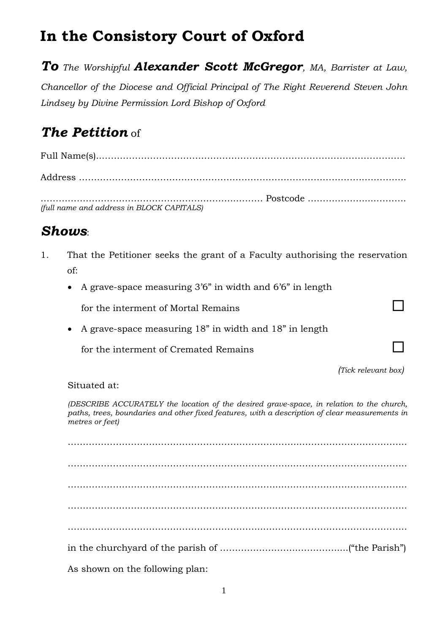# **In the Consistory Court of Oxford**

*To The Worshipful Alexander Scott McGregor, MA, Barrister at Law,*

*Chancellor of the Diocese and Official Principal of The Right Reverend Steven John Lindsey by Divine Permission Lord Bishop of Oxford*

# *The Petition* of

Full Name(s)..………………………………………………………………………………………..

………………………………………………………..……… Postcode ………………....……….. *(full name and address in BLOCK CAPITALS)*

Address …………………………………………………………………………………..…………..

### *Shows*:

- 1. That the Petitioner seeks the grant of a Faculty authorising the reservation of:
	- A grave-space measuring 3'6" in width and 6'6" in length

for the interment of Mortal Remains

A grave-space measuring 18" in width and 18" in length

for the interment of Cremated Remains

*(Tick relevant box)*

Situated at:

*(DESCRIBE ACCURATELY the location of the desired grave-space, in relation to the church, paths, trees, boundaries and other fixed features, with a description of clear measurements in metres or feet)*

…………………………………………………………………...…………………………….. ………………………………………………………………...……………………………….. ……………………………………………………………...………………………………….. …………………………………………………………...…………………………………….. ………………………………………………………...……………………………………….. in the churchyard of the parish of ……………………..………….....("the Parish") As shown on the following plan:

1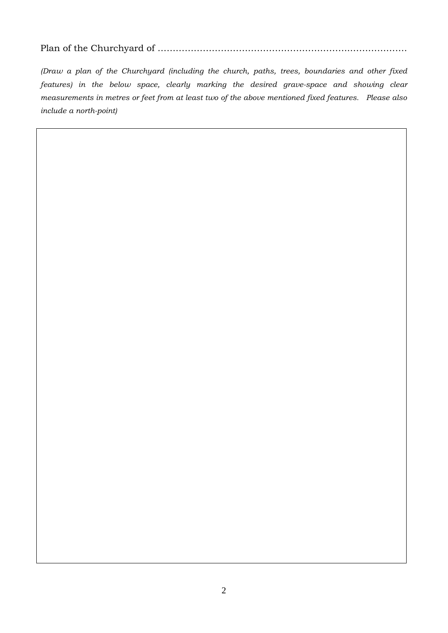#### Plan of the Churchyard of ……………………………………………………….……………….

*(Draw a plan of the Churchyard (including the church, paths, trees, boundaries and other fixed features) in the below space, clearly marking the desired grave-space and showing clear measurements in metres or feet from at least two of the above mentioned fixed features. Please also include a north-point)*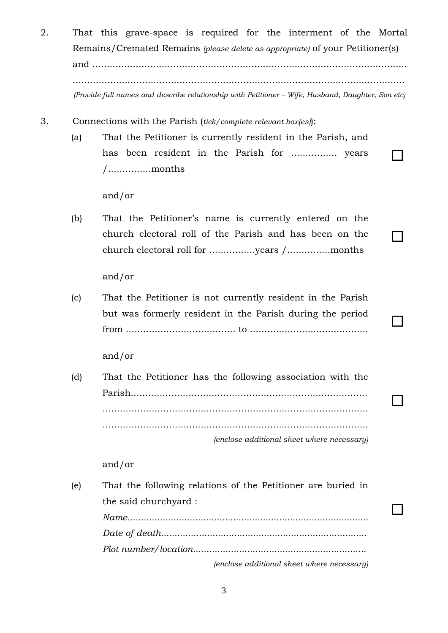- 2. That this grave-space is required for the interment of the Mortal Remains/Cremated Remains *(please delete as appropriate)* of your Petitioner(s) and ............................................................................................................. ................................................................................................................... *(Provide full names and describe relationship with Petitioner – Wife, Husband, Daughter, Son etc)*
- 3. Connections with the Parish (*tick/complete relevant box(es)*):
	- (a) That the Petitioner is currently resident in the Parish, and has been resident in the Parish for ................ years /...............months

and/or

(b) That the Petitioner's name is currently entered on the church electoral roll of the Parish and has been on the church electoral roll for ................years /...............months

and/or

(c) That the Petitioner is not currently resident in the Parish but was formerly resident in the Parish during the period from ...................................... to .........................................

and/or

(d) That the Petitioner has the following association with the Parish.................................................................................. ............................................................................................ ............................................................................................

*(enclose additional sheet where necessary)*

 $\Box$ 

 $\overline{\phantom{a}}$ 

 $\Box$ 

and/or

(e) That the following relations of the Petitioner are buried in the said churchyard : *Name......................................................................................... Date of death............................................................................ Plot number/location................................................................ (enclose additional sheet where necessary)*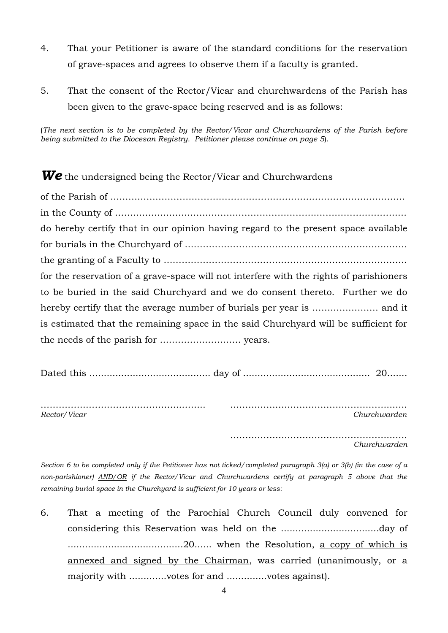- 4. That your Petitioner is aware of the standard conditions for the reservation of grave-spaces and agrees to observe them if a faculty is granted.
- 5. That the consent of the Rector/Vicar and churchwardens of the Parish has been given to the grave-space being reserved and is as follows:

(*The next section is to be completed by the Rector/Vicar and Churchwardens of the Parish before being submitted to the Diocesan Registry. Petitioner please continue on page 5*).

*We* the undersigned being the Rector/Vicar and Churchwardens of the Parish of ………………………………………………………….……………….………… in the County of ………………………………………………………….………………………… do hereby certify that in our opinion having regard to the present space available for burials in the Churchyard of …………………………………………………………..…… the granting of a Faculty to ………………………………………………………….………….. for the reservation of a grave-space will not interfere with the rights of parishioners to be buried in the said Churchyard and we do consent thereto. Further we do hereby certify that the average number of burials per year is …………………. and it is estimated that the remaining space in the said Churchyard will be sufficient for the needs of the parish for ……………………… years.

Dated this .......................................... day of ............................................ 20.......

………………………………………..…….. …………….………………………………..….. *Rector/Vicar Churchwarden*

> ……………….……………………………..….. *Churchwarden*

*Section 6 to be completed only if the Petitioner has not ticked/completed paragraph 3(a) or 3(b) (in the case of a non-parishioner) AND/OR if the Rector/Vicar and Churchwardens certify at paragraph 5 above that the remaining burial space in the Churchyard is sufficient for 10 years or less:*

6. That a meeting of the Parochial Church Council duly convened for considering this Reservation was held on the ..................................day of ........................................20...... when the Resolution, a copy of which is annexed and signed by the Chairman, was carried (unanimously, or a majority with .............votes for and ..............votes against).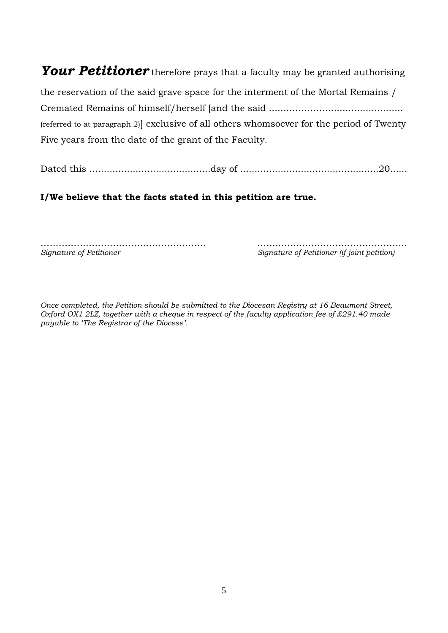# *Your Petitioner* therefore prays that a faculty may be granted authorising the reservation of the said grave space for the interment of the Mortal Remains /

Cremated Remains of himself/herself [and the said ........………….......................... (referred to at paragraph 2)] exclusive of all others whomsoever for the period of Twenty Five years from the date of the grant of the Faculty.

Dated this ..........................................day of ................................................20......

#### **I/We believe that the facts stated in this petition are true.**

………………………………………………. ……...………………………………….. *Signature of Petitioner Signature of Petitioner (if joint petition)*

*Once completed, the Petition should be submitted to the Diocesan Registry at 16 Beaumont Street, Oxford OX1 2LZ, together with a cheque in respect of the faculty application fee of £291.40 made payable to 'The Registrar of the Diocese'.*